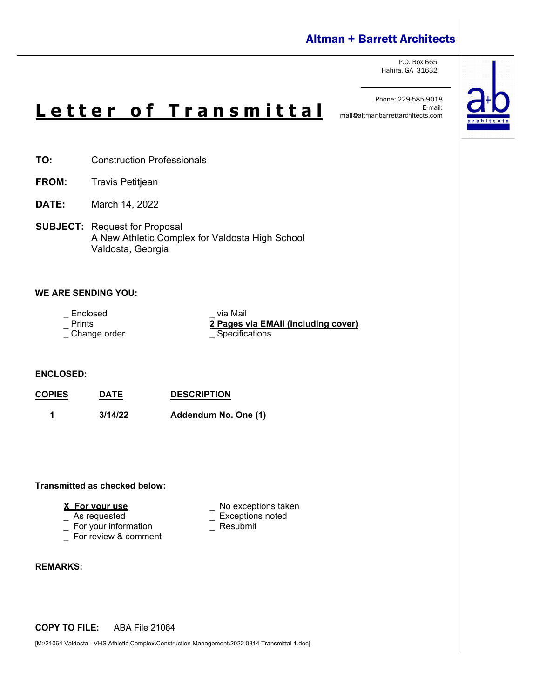# Altman + Barrett Architects

P.O. Box 665 Hahira, GA 31632



# **L e t t e r o f T r a n s m i t t a l**

Phone: 229-585-9018 mail@altmanbarrettarchitects.com

- **TO:** Construction Professionals
- **FROM:** Travis Petitjean
- **DATE:** March 14, 2022
- **SUBJECT:** Request for Proposal A New Athletic Complex for Valdosta High School Valdosta, Georgia

#### **WE ARE SENDING YOU:**

- 
- 
- $\_$  Change order

\_ Enclosed via Mail<br>\_ Prints <mark>2 Pages v</mark> 2 Pages via EMAII (including cover)<br>
<u>Specifications</u>

#### **ENCLOSED:**

**COPIES DATE DESCRIPTION 1 3/14/22 Addendum No. One (1)** 

#### **Transmitted as checked below:**

- 
- $\overline{\phantom{a}}$  For your information
- \_ For review & comment

#### **REMARKS:**

#### **COPY TO FILE:** ABA File 21064

[M:\21064 Valdosta - VHS Athletic Complex\Construction Management\2022 0314 Transmittal 1.doc]

- **X For your use** \_ No exceptions taken
	- \_ Exceptions noted<br>\_ Resubmit
	-

E-mail: